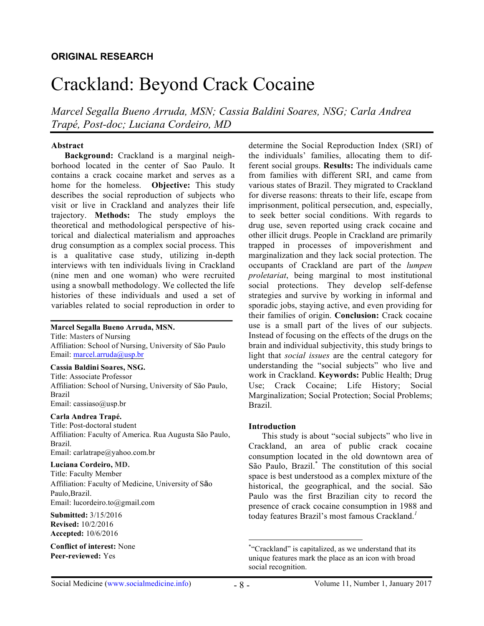# Crackland: Beyond Crack Cocaine

*Marcel Segalla Bueno Arruda, MSN; Cassia Baldini Soares, NSG; Carla Andrea Trapé, Post-doc; Luciana Cordeiro, MD*

## **Abstract**

**Background:** Crackland is a marginal neighborhood located in the center of Sao Paulo. It contains a crack cocaine market and serves as a home for the homeless. **Objective:** This study describes the social reproduction of subjects who visit or live in Crackland and analyzes their life trajectory. **Methods:** The study employs the theoretical and methodological perspective of historical and dialectical materialism and approaches drug consumption as a complex social process. This is a qualitative case study, utilizing in-depth interviews with ten individuals living in Crackland (nine men and one woman) who were recruited using a snowball methodology. We collected the life histories of these individuals and used a set of variables related to social reproduction in order to

#### **Marcel Segalla Bueno Arruda, MSN.**

Title: Masters of Nursing Affiliation: School of Nursing, University of São Paulo Email: marcel.arruda@usp.br

#### **Cassia Baldini Soares, NSG.**

Title: Associate Professor Affiliation: School of Nursing, University of São Paulo, Brazil Email: cassiaso@usp.br

#### **Carla Andrea Trapé.**

Title: Post-doctoral student Affiliation: Faculty of America. Rua Augusta São Paulo, Brazil. Email: carlatrape@yahoo.com.br

#### **Luciana Cordeiro, MD.**

Title: Faculty Member Affiliation: Faculty of Medicine, University of São Paulo,Brazil. Email: lucordeiro.to@gmail.com

**Submitted:** 3/15/2016 **Revised:** 10/2/2016 **Accepted:** 10/6/2016

**Conflict of interest:** None **Peer-reviewed:** Yes

determine the Social Reproduction Index (SRI) of the individuals' families, allocating them to different social groups. **Results:** The individuals came from families with different SRI, and came from various states of Brazil. They migrated to Crackland for diverse reasons: threats to their life, escape from imprisonment, political persecution, and, especially, to seek better social conditions. With regards to drug use, seven reported using crack cocaine and other illicit drugs. People in Crackland are primarily trapped in processes of impoverishment and marginalization and they lack social protection. The occupants of Crackland are part of the *lumpen proletariat*, being marginal to most institutional social protections. They develop self-defense strategies and survive by working in informal and sporadic jobs, staying active, and even providing for their families of origin. **Conclusion:** Crack cocaine use is a small part of the lives of our subjects. Instead of focusing on the effects of the drugs on the brain and individual subjectivity, this study brings to light that *social issues* are the central category for understanding the "social subjects" who live and work in Crackland. **Keywords:** Public Health; Drug Use; Crack Cocaine; Life History; Social Marginalization; Social Protection; Social Problems; Brazil.

#### **Introduction**

This study is about "social subjects" who live in Crackland, an area of public crack cocaine consumption located in the old downtown area of São Paulo, Brazil. \* The constitution of this social space is best understood as a complex mixture of the historical, the geographical, and the social. São Paulo was the first Brazilian city to record the presence of crack cocaine consumption in 1988 and today features Brazil's most famous Crackland.*<sup>1</sup>*

 <sup>\*</sup> "Crackland" is capitalized, as we understand that its unique features mark the place as an icon with broad social recognition.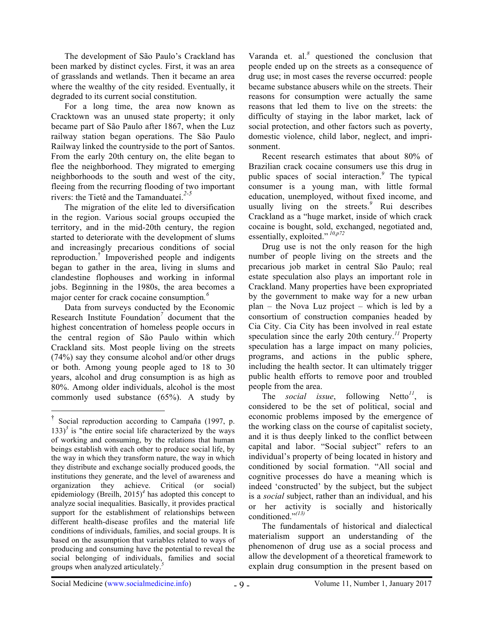The development of São Paulo's Crackland has been marked by distinct cycles. First, it was an area of grasslands and wetlands. Then it became an area where the wealthy of the city resided. Eventually, it degraded to its current social constitution.

For a long time, the area now known as Cracktown was an unused state property; it only became part of São Paulo after 1867, when the Luz railway station began operations. The São Paulo Railway linked the countryside to the port of Santos. From the early 20th century on, the elite began to flee the neighborhood. They migrated to emerging neighborhoods to the south and west of the city, fleeing from the recurring flooding of two important rivers: the Tietê and the Tamanduateí.*2-5*

The migration of the elite led to diversification in the region. Various social groups occupied the territory, and in the mid-20th century, the region started to deteriorate with the development of slums and increasingly precarious conditions of social reproduction.† Impoverished people and indigents began to gather in the area, living in slums and clandestine flophouses and working in informal jobs. Beginning in the 1980s, the area becomes a major center for crack cocaine consumption*. 6*

Data from surveys conducted by the Economic Research Institute Foundation*<sup>7</sup>* document that the highest concentration of homeless people occurs in the central region of São Paulo within which Crackland sits. Most people living on the streets (74%) say they consume alcohol and/or other drugs or both. Among young people aged to 18 to 30 years, alcohol and drug consumption is as high as 80%. Among older individuals, alcohol is the most commonly used substance (65%). A study by

Varanda et. al. *<sup>8</sup>* questioned the conclusion that people ended up on the streets as a consequence of drug use; in most cases the reverse occurred: people became substance abusers while on the streets. Their reasons for consumption were actually the same reasons that led them to live on the streets: the difficulty of staying in the labor market, lack of social protection, and other factors such as poverty, domestic violence, child labor, neglect, and imprisonment.

Recent research estimates that about 80% of Brazilian crack cocaine consumers use this drug in public spaces of social interaction.*<sup>9</sup>* The typical consumer is a young man, with little formal education, unemployed, without fixed income, and usually living on the streets.*<sup>9</sup>* Rui describes Crackland as a "huge market, inside of which crack cocaine is bought, sold, exchanged, negotiated and, essentially, exploited."  $^{10,p72}$ 

Drug use is not the only reason for the high number of people living on the streets and the precarious job market in central São Paulo; real estate speculation also plays an important role in Crackland. Many properties have been expropriated by the government to make way for a new urban plan – the Nova Luz project – which is led by a consortium of construction companies headed by Cia City. Cia City has been involved in real estate speculation since the early 20th century.<sup>11</sup> Property speculation has a large impact on many policies, programs, and actions in the public sphere, including the health sector. It can ultimately trigger public health efforts to remove poor and troubled people from the area.

The *social issue*, following Netto*<sup>11</sup>*, is considered to be the set of political, social and economic problems imposed by the emergence of the working class on the course of capitalist society, and it is thus deeply linked to the conflict between capital and labor. "Social subject" refers to an individual's property of being located in history and conditioned by social formation. "All social and cognitive processes do have a meaning which is indeed 'constructed' by the subject, but the subject is a *social* subject, rather than an individual, and his or her activity is socially and historically conditioned." *(13)*

The fundamentals of historical and dialectical materialism support an understanding of the phenomenon of drug use as a social process and allow the development of a theoretical framework to explain drug consumption in the present based on

 <sup>†</sup> Social reproduction according to Campaña (1997, p.  $133$ <sup>3</sup> is "the entire social life characterized by the ways of working and consuming, by the relations that human beings establish with each other to produce social life, by the way in which they transform nature, the way in which they distribute and exchange socially produced goods, the institutions they generate, and the level of awareness and organization they achieve. Critical (or social) epidemiology (Breilh, 2015)*<sup>4</sup>* has adopted this concept to analyze social inequalities. Basically, it provides practical support for the establishment of relationships between different health-disease profiles and the material life conditions of individuals, families, and social groups. It is based on the assumption that variables related to ways of producing and consuming have the potential to reveal the social belonging of individuals, families and social groups when analyzed articulately. *5*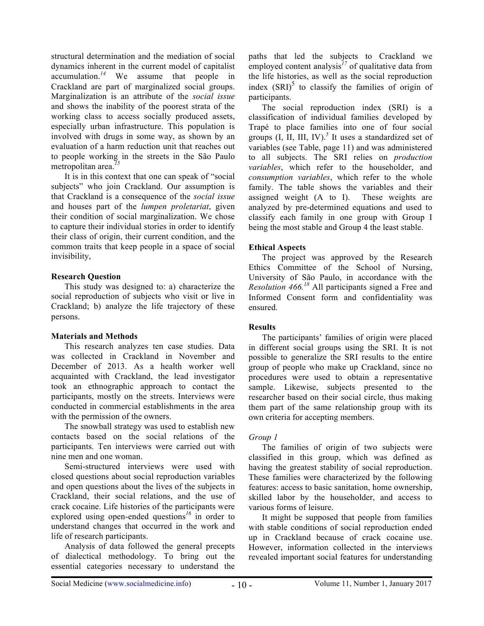structural determination and the mediation of social dynamics inherent in the current model of capitalist accumulation.*<sup>14</sup>* We assume that people in Crackland are part of marginalized social groups. Marginalization is an attribute of the *social issue* and shows the inability of the poorest strata of the working class to access socially produced assets, especially urban infrastructure. This population is involved with drugs in some way, as shown by an evaluation of a harm reduction unit that reaches out to people working in the streets in the São Paulo metropolitan area.*<sup>15</sup>*

It is in this context that one can speak of "social subjects" who join Crackland. Our assumption is that Crackland is a consequence of the *social issue* and houses part of the *lumpen proletariat*, given their condition of social marginalization. We chose to capture their individual stories in order to identify their class of origin, their current condition, and the common traits that keep people in a space of social invisibility,

# **Research Question**

This study was designed to: a) characterize the social reproduction of subjects who visit or live in Crackland; b) analyze the life trajectory of these persons.

# **Materials and Methods**

This research analyzes ten case studies. Data was collected in Crackland in November and December of 2013. As a health worker well acquainted with Crackland, the lead investigator took an ethnographic approach to contact the participants, mostly on the streets. Interviews were conducted in commercial establishments in the area with the permission of the owners.

The snowball strategy was used to establish new contacts based on the social relations of the participants. Ten interviews were carried out with nine men and one woman.

Semi-structured interviews were used with closed questions about social reproduction variables and open questions about the lives of the subjects in Crackland, their social relations, and the use of crack cocaine. Life histories of the participants were explored using open-ended questions*<sup>16</sup>* in order to understand changes that occurred in the work and life of research participants.

Analysis of data followed the general precepts of dialectical methodology. To bring out the essential categories necessary to understand the

paths that led the subjects to Crackland we employed content analysis<sup>17</sup> of qualitative data from the life histories, as well as the social reproduction index  $(SRI)^5$  to classify the families of origin of participants.

The social reproduction index (SRI) is a classification of individual families developed by Trapé to place families into one of four social groups  $(I, II, III, IV)$ <sup>5</sup> It uses a standardized set of variables (see Table, page 11) and was administered to all subjects. The SRI relies on *production variables*, which refer to the householder, and *consumption variables*, which refer to the whole family. The table shows the variables and their assigned weight (A to I). These weights are analyzed by pre-determined equations and used to classify each family in one group with Group I being the most stable and Group 4 the least stable.

# **Ethical Aspects**

The project was approved by the Research Ethics Committee of the School of Nursing, University of São Paulo, in accordance with the *Resolution 466. <sup>18</sup>* All participants signed a Free and Informed Consent form and confidentiality was ensured.

# **Results**

The participants' families of origin were placed in different social groups using the SRI. It is not possible to generalize the SRI results to the entire group of people who make up Crackland, since no procedures were used to obtain a representative sample. Likewise, subjects presented to the researcher based on their social circle, thus making them part of the same relationship group with its own criteria for accepting members.

# *Group 1*

The families of origin of two subjects were classified in this group, which was defined as having the greatest stability of social reproduction. These families were characterized by the following features: access to basic sanitation, home ownership, skilled labor by the householder, and access to various forms of leisure.

It might be supposed that people from families with stable conditions of social reproduction ended up in Crackland because of crack cocaine use. However, information collected in the interviews revealed important social features for understanding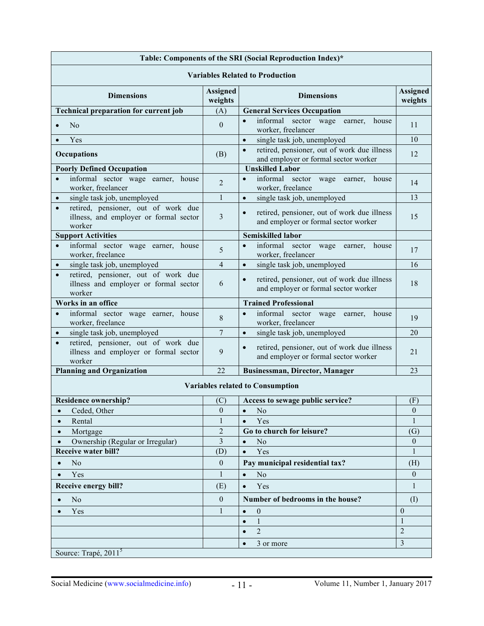| Table: Components of the SRI (Social Reproduction Index)*                                            |                            |                                                                                                  |                            |
|------------------------------------------------------------------------------------------------------|----------------------------|--------------------------------------------------------------------------------------------------|----------------------------|
| <b>Variables Related to Production</b>                                                               |                            |                                                                                                  |                            |
| <b>Dimensions</b>                                                                                    | <b>Assigned</b><br>weights | <b>Dimensions</b>                                                                                | <b>Assigned</b><br>weights |
| <b>Technical preparation for current job</b>                                                         | (A)                        | <b>General Services Occupation</b>                                                               |                            |
| No                                                                                                   | $\boldsymbol{0}$           | informal sector wage earner, house<br>$\bullet$<br>worker, freelancer                            | 11                         |
| Yes                                                                                                  |                            | single task job, unemployed<br>$\bullet$                                                         | 10                         |
| <b>Occupations</b>                                                                                   | (B)                        | retired, pensioner, out of work due illness<br>$\bullet$<br>and employer or formal sector worker | 12                         |
| <b>Poorly Defined Occupation</b>                                                                     |                            | <b>Unskilled Labor</b>                                                                           |                            |
| informal sector wage earner, house<br>$\bullet$<br>worker, freelancer                                | $\overline{2}$             | informal sector wage earner, house<br>$\bullet$<br>worker, freelance                             | 14                         |
| single task job, unemployed                                                                          | $\mathbf{1}$               | single task job, unemployed<br>$\bullet$                                                         | 13                         |
| retired, pensioner, out of work due<br>$\bullet$<br>illness, and employer or formal sector<br>worker | 3                          | retired, pensioner, out of work due illness<br>$\bullet$<br>and employer or formal sector worker | 15                         |
| <b>Support Activities</b>                                                                            |                            | <b>Semiskilled labor</b>                                                                         |                            |
| informal sector wage earner, house<br>$\bullet$<br>worker, freelance                                 | 5                          | informal sector<br>$\bullet$<br>wage<br>earner, house<br>worker, freelancer                      | 17                         |
| single task job, unemployed<br>$\bullet$                                                             | $\overline{4}$             | single task job, unemployed<br>$\bullet$                                                         | 16                         |
| retired, pensioner, out of work due<br>illness and employer or formal sector<br>worker               | 6                          | retired, pensioner, out of work due illness<br>$\bullet$<br>and employer or formal sector worker | 18                         |
| Works in an office                                                                                   |                            | <b>Trained Professional</b>                                                                      |                            |
| informal sector wage earner, house<br>$\bullet$<br>worker, freelance                                 | 8                          | informal sector<br>wage<br>earner, house<br>$\bullet$<br>worker, freelancer                      | 19                         |
| single task job, unemployed<br>$\bullet$                                                             | $\overline{7}$             | single task job, unemployed<br>$\bullet$                                                         | 20                         |
| retired, pensioner, out of work due<br>$\bullet$<br>illness and employer or formal sector<br>worker  | 9                          | retired, pensioner, out of work due illness<br>$\bullet$<br>and employer or formal sector worker | 21                         |
| <b>Planning and Organization</b>                                                                     | 22                         | <b>Businessman, Director, Manager</b>                                                            | 23                         |
| <b>Variables related to Consumption</b>                                                              |                            |                                                                                                  |                            |
| <b>Residence ownership?</b>                                                                          | (C)                        | Access to sewage public service?                                                                 | (F)                        |
| Ceded, Other<br>$\bullet$                                                                            | $\boldsymbol{0}$           | N <sub>o</sub><br>$\bullet$                                                                      | $\bf{0}$                   |
| Rental<br>$\bullet$                                                                                  | $\mathbf{1}$               | Yes<br>$\bullet$                                                                                 | 1                          |
| Mortgage                                                                                             | $\overline{c}$             | Go to church for leisure?                                                                        | (G)                        |
| Ownership (Regular or Irregular)                                                                     | 3                          | N <sub>o</sub><br>$\bullet$                                                                      | $\boldsymbol{0}$           |
| <b>Receive water bill?</b>                                                                           | (D)                        | Yes<br>$\bullet$                                                                                 | 1                          |
| N <sub>o</sub>                                                                                       | $\boldsymbol{0}$           | Pay municipal residential tax?                                                                   | (H)                        |
| Yes                                                                                                  | $\mathbf{1}$               | N <sub>o</sub><br>$\bullet$                                                                      | $\mathbf{0}$               |
| Receive energy bill?                                                                                 | (E)                        | Yes<br>$\bullet$                                                                                 | 1                          |
| N <sub>o</sub>                                                                                       | $\boldsymbol{0}$           | Number of bedrooms in the house?                                                                 | (I)                        |
| Yes                                                                                                  | $\mathbf{1}$               | $\bullet$<br>$\mathbf{0}$                                                                        | $\boldsymbol{0}$           |
|                                                                                                      |                            | $\bullet$<br>1                                                                                   | $\mathbf{1}$               |
|                                                                                                      |                            | $\overline{2}$<br>$\bullet$                                                                      | $\overline{2}$             |
|                                                                                                      |                            | 3 or more<br>$\bullet$                                                                           | $\overline{3}$             |
| Source: Trapé, 2011 <sup>5</sup>                                                                     |                            |                                                                                                  |                            |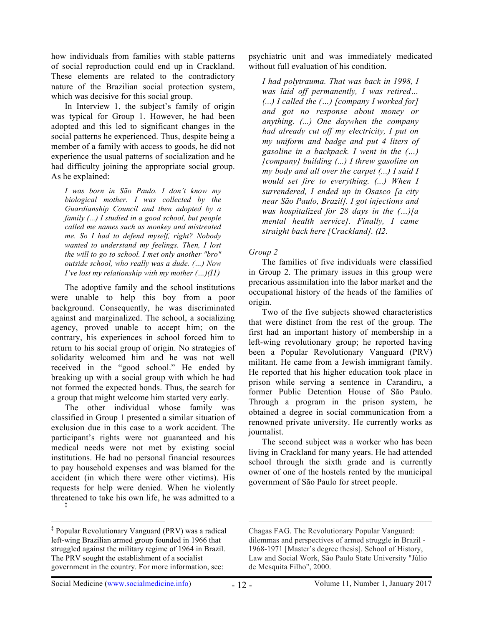how individuals from families with stable patterns of social reproduction could end up in Crackland. These elements are related to the contradictory nature of the Brazilian social protection system, which was decisive for this social group.

In Interview 1, the subject's family of origin was typical for Group 1. However, he had been adopted and this led to significant changes in the social patterns he experienced. Thus, despite being a member of a family with access to goods, he did not experience the usual patterns of socialization and he had difficulty joining the appropriate social group. As he explained:

*I was born in São Paulo. I don't know my biological mother. I was collected by the Guardianship Council and then adopted by a family (...) I studied in a good school, but people called me names such as monkey and mistreated me. So I had to defend myself, right? Nobody wanted to understand my feelings. Then, I lost the will to go to school. I met only another "bro" outside school, who really was a dude. (…) Now I've lost my relationship with my mother (…)(I1)*

The adoptive family and the school institutions were unable to help this boy from a poor background. Consequently, he was discriminated against and marginalized. The school, a socializing agency, proved unable to accept him; on the contrary, his experiences in school forced him to return to his social group of origin. No strategies of solidarity welcomed him and he was not well received in the "good school." He ended by breaking up with a social group with which he had not formed the expected bonds. Thus, the search for a group that might welcome him started very early.

The other individual whose family was classified in Group 1 presented a similar situation of exclusion due in this case to a work accident. The participant's rights were not guaranteed and his medical needs were not met by existing social institutions. He had no personal financial resources to pay household expenses and was blamed for the accident (in which there were other victims). His requests for help were denied. When he violently threatened to take his own life, he was admitted to a ‡

psychiatric unit and was immediately medicated without full evaluation of his condition.

*I had polytrauma. That was back in 1998, I was laid off permanently, I was retired… (...) I called the (…) [company I worked for] and got no response about money or anything. (...) One daywhen the company had already cut off my electricity, I put on my uniform and badge and put 4 liters of gasoline in a backpack. I went in the (…) [company] building (...) I threw gasoline on my body and all over the carpet (...) I said I would set fire to everything. (...) When I surrendered, I ended up in Osasco [a city near São Paulo, Brazil]. I got injections and was hospitalized for 28 days in the (…)[a mental health service]. Finally, I came straight back here [Crackland]. (I2.*

# *Group 2*

The families of five individuals were classified in Group 2. The primary issues in this group were precarious assimilation into the labor market and the occupational history of the heads of the families of origin.

Two of the five subjects showed characteristics that were distinct from the rest of the group. The first had an important history of membership in a left-wing revolutionary group; he reported having been a Popular Revolutionary Vanguard (PRV) militant. He came from a Jewish immigrant family. He reported that his higher education took place in prison while serving a sentence in Carandiru, a former Public Detention House of São Paulo. Through a program in the prison system, he obtained a degree in social communication from a renowned private university. He currently works as journalist.

The second subject was a worker who has been living in Crackland for many years. He had attended school through the sixth grade and is currently owner of one of the hostels rented by the municipal government of São Paulo for street people.

 <sup>‡</sup> Popular Revolutionary Vanguard (PRV) was a radical left-wing Brazilian armed group founded in 1966 that struggled against the military regime of 1964 in Brazil. The PRV sought the establishment of a socialist government in the country. For more information, see:

 $\overline{a}$ Chagas FAG. The Revolutionary Popular Vanguard: dilemmas and perspectives of armed struggle in Brazil - 1968-1971 [Master's degree thesis]. School of History, Law and Social Work, São Paulo State University "Júlio de Mesquita Filho", 2000.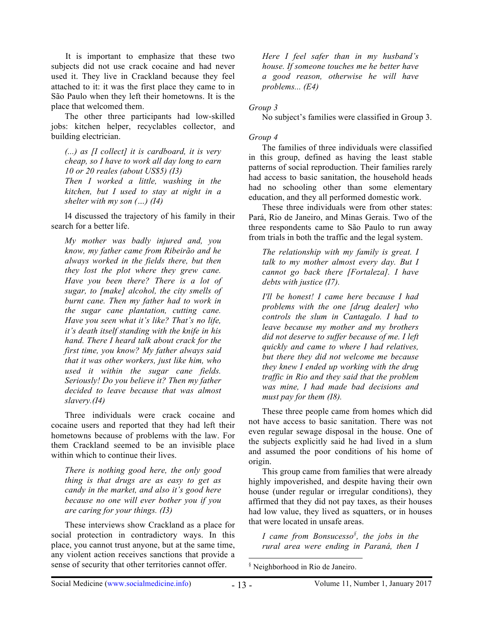It is important to emphasize that these two subjects did not use crack cocaine and had never used it. They live in Crackland because they feel attached to it: it was the first place they came to in São Paulo when they left their hometowns. It is the place that welcomed them.

The other three participants had low-skilled jobs: kitchen helper, recyclables collector, and building electrician.

*(...) as [I collect] it is cardboard, it is very cheap, so I have to work all day long to earn 10 or 20 reales (about US\$5) (I3) Then I worked a little, washing in the kitchen, but I used to stay at night in a shelter with my son (…) (I4)*

I4 discussed the trajectory of his family in their search for a better life.

*My mother was badly injured and, you know, my father came from Ribeirão and he always worked in the fields there, but then they lost the plot where they grew cane. Have you been there? There is a lot of sugar, to [make] alcohol, the city smells of burnt cane. Then my father had to work in the sugar cane plantation, cutting cane. Have you seen what it's like? That's no life, it's death itself standing with the knife in his hand. There I heard talk about crack for the first time, you know? My father always said that it was other workers, just like him, who used it within the sugar cane fields. Seriously! Do you believe it? Then my father decided to leave because that was almost slavery.(I4)*

Three individuals were crack cocaine and cocaine users and reported that they had left their hometowns because of problems with the law. For them Crackland seemed to be an invisible place within which to continue their lives.

*There is nothing good here, the only good thing is that drugs are as easy to get as candy in the market, and also it's good here because no one will ever bother you if you are caring for your things. (I3)*

These interviews show Crackland as a place for social protection in contradictory ways. In this place, you cannot trust anyone, but at the same time, any violent action receives sanctions that provide a sense of security that other territories cannot offer.

*Here I feel safer than in my husband's house. If someone touches me he better have a good reason, otherwise he will have problems... (E4)*

# *Group 3*

No subject's families were classified in Group 3.

# *Group 4*

The families of three individuals were classified in this group, defined as having the least stable patterns of social reproduction. Their families rarely had access to basic sanitation, the household heads had no schooling other than some elementary education, and they all performed domestic work.

These three individuals were from other states: Pará, Rio de Janeiro, and Minas Gerais. Two of the three respondents came to São Paulo to run away from trials in both the traffic and the legal system.

*The relationship with my family is great. I talk to my mother almost every day. But I cannot go back there [Fortaleza]. I have debts with justice (I7).*

*I'll be honest! I came here because I had problems with the one [drug dealer] who controls the slum in Cantagalo. I had to leave because my mother and my brothers did not deserve to suffer because of me. I left quickly and came to where I had relatives, but there they did not welcome me because they knew I ended up working with the drug traffic in Rio and they said that the problem was mine, I had made bad decisions and must pay for them (I8).*

These three people came from homes which did not have access to basic sanitation. There was not even regular sewage disposal in the house. One of the subjects explicitly said he had lived in a slum and assumed the poor conditions of his home of origin.

This group came from families that were already highly impoverished, and despite having their own house (under regular or irregular conditions), they affirmed that they did not pay taxes, as their houses had low value, they lived as squatters, or in houses that were located in unsafe areas.

*I came from Bonsucesso§ , the jobs in the rural area were ending in Paraná, then I*

§ Neighborhood in Rio de Janeiro.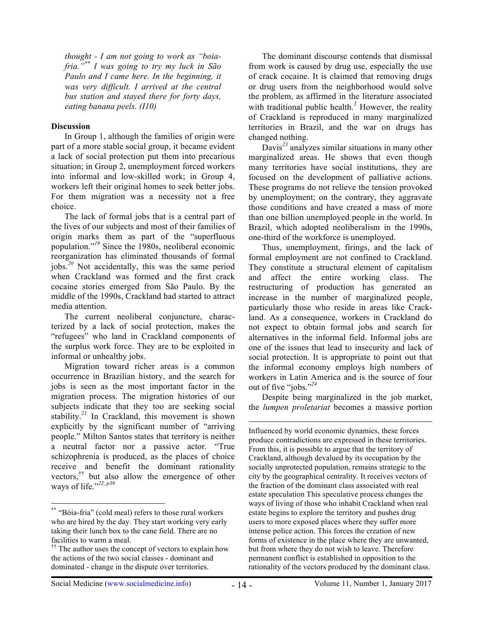*thought - I am not going to work as "boiafria."\*\* I was going to try my luck in São Paulo and I came here. In the beginning, it was very difficult. I arrived at the central bus station and stayed there for forty days, eating banana peels. (I10)*

## **Discussion**

In Group 1, although the families of origin were part of a more stable social group, it became evident a lack of social protection put them into precarious situation; in Group 2, unemployment forced workers into informal and low-skilled work; in Group 4, workers left their original homes to seek better jobs. For them migration was a necessity not a free choice.

The lack of formal jobs that is a central part of the lives of our subjects and most of their families of origin marks them as part of the "superfluous population."*<sup>19</sup>* Since the 1980s, neoliberal economic reorganization has eliminated thousands of formal jobs.*<sup>20</sup>* Not accidentally, this was the same period when Crackland was formed and the first crack cocaine stories emerged from São Paulo. By the middle of the 1990s, Crackland had started to attract media attention.

The current neoliberal conjuncture, characterized by a lack of social protection, makes the "refugees" who land in Crackland components of the surplus work force. They are to be exploited in informal or unhealthy jobs.

Migration toward richer areas is a common occurrence in Brazilian history, and the search for jobs is seen as the most important factor in the migration process. The migration histories of our subjects indicate that they too are seeking social stability.*<sup>21</sup>* In Crackland, this movement is shown explicitly by the significant number of "arriving people." Milton Santos states that territory is neither a neutral factor nor a passive actor. "True schizophrenia is produced, as the places of choice receive and benefit the dominant rationality vectors,†† but also allow the emergence of other ways of life." *22, p39*

The dominant discourse contends that dismissal from work is caused by drug use, especially the use of crack cocaine. It is claimed that removing drugs or drug users from the neighborhood would solve the problem, as affirmed in the literature associated with traditional public health.<sup>1</sup> However, the reality of Crackland is reproduced in many marginalized territories in Brazil, and the war on drugs has changed nothing.

Davis*<sup>23</sup>* analyzes similar situations in many other marginalized areas. He shows that even though many territories have social institutions, they are focused on the development of palliative actions. These programs do not relieve the tension provoked by unemployment; on the contrary, they aggravate those conditions and have created a mass of more than one billion unemployed people in the world. In Brazil, which adopted neoliberalism in the 1990s, one-third of the workforce is unemployed.

Thus, unemployment, firings, and the lack of formal employment are not confined to Crackland. They constitute a structural element of capitalism and affect the entire working class. The restructuring of production has generated an increase in the number of marginalized people, particularly those who reside in areas like Crackland. As a consequence, workers in Crackland do not expect to obtain formal jobs and search for alternatives in the informal field. Informal jobs are one of the issues that lead to insecurity and lack of social protection. It is appropriate to point out that the informal economy employs high numbers of workers in Latin America and is the source of four out of five "jobs."*<sup>24</sup>*

Despite being marginalized in the job market, the *lumpen proletariat* becomes a massive portion

 $\overline{a}$ 

 <sup>\*\*</sup> "Bóia-fria" (cold meal) refers to those rural workers who are hired by the day. They start working very early taking their lunch box to the cane field. There are no facilities to warm a meal.

 $\ddot{\mathbf{r}}$  The author uses the concept of vectors to explain how the actions of the two social classes - dominant and dominated - change in the dispute over territories.

Influenced by world economic dynamics, these forces produce contradictions are expressed in these territories. From this, it is possible to argue that the territory of Crackland, although devalued by its occupation by the socially unprotected population, remains strategic to the city by the geographical centrality. It receives vectors of the fraction of the dominant class associated with real estate speculation This speculative process changes the ways of living of those who inhabit Crackland when real estate begins to explore the territory and pushes drug users to more exposed places where they suffer more intense police action. This forces the creation of new forms of existence in the place where they are unwanted, but from where they do not wish to leave. Therefore permanent conflict is established in opposition to the rationality of the vectors produced by the dominant class.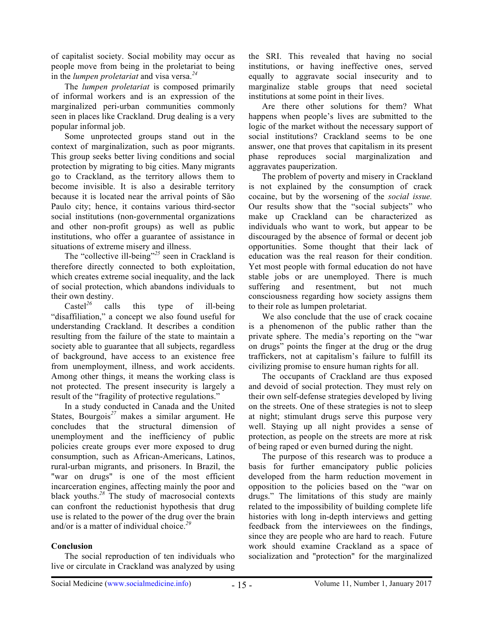of capitalist society. Social mobility may occur as people move from being in the proletariat to being in the *lumpen proletariat* and visa versa.*<sup>24</sup>*

The *lumpen proletariat* is composed primarily of informal workers and is an expression of the marginalized peri-urban communities commonly seen in places like Crackland. Drug dealing is a very popular informal job.

Some unprotected groups stand out in the context of marginalization, such as poor migrants. This group seeks better living conditions and social protection by migrating to big cities. Many migrants go to Crackland, as the territory allows them to become invisible. It is also a desirable territory because it is located near the arrival points of São Paulo city; hence, it contains various third-sector social institutions (non-governmental organizations and other non-profit groups) as well as public institutions, who offer a guarantee of assistance in situations of extreme misery and illness.

The "collective ill-being"*<sup>25</sup>* seen in Crackland is therefore directly connected to both exploitation, which creates extreme social inequality, and the lack of social protection, which abandons individuals to their own destiny.

Castel<sup>26</sup> calls this type of ill-being "disaffiliation," a concept we also found useful for understanding Crackland. It describes a condition resulting from the failure of the state to maintain a society able to guarantee that all subjects, regardless of background, have access to an existence free from unemployment, illness, and work accidents. Among other things, it means the working class is not protected. The present insecurity is largely a result of the "fragility of protective regulations."

In a study conducted in Canada and the United States, Bourgois*<sup>27</sup>* makes a similar argument. He concludes that the structural dimension of unemployment and the inefficiency of public policies create groups ever more exposed to drug consumption, such as African-Americans, Latinos, rural-urban migrants, and prisoners. In Brazil, the "war on drugs" is one of the most efficient incarceration engines, affecting mainly the poor and black youths.*<sup>28</sup>* The study of macrosocial contexts can confront the reductionist hypothesis that drug use is related to the power of the drug over the brain and/or is a matter of individual choice.*<sup>29</sup>*

# **Conclusion**

The social reproduction of ten individuals who live or circulate in Crackland was analyzed by using the SRI. This revealed that having no social institutions, or having ineffective ones, served equally to aggravate social insecurity and to marginalize stable groups that need societal institutions at some point in their lives.

Are there other solutions for them? What happens when people's lives are submitted to the logic of the market without the necessary support of social institutions? Crackland seems to be one answer, one that proves that capitalism in its present phase reproduces social marginalization and aggravates pauperization.

The problem of poverty and misery in Crackland is not explained by the consumption of crack cocaine, but by the worsening of the *social issue.* Our results show that the "social subjects" who make up Crackland can be characterized as individuals who want to work, but appear to be discouraged by the absence of formal or decent job opportunities. Some thought that their lack of education was the real reason for their condition. Yet most people with formal education do not have stable jobs or are unemployed. There is much suffering and resentment, but not much consciousness regarding how society assigns them to their role as lumpen proletariat.

We also conclude that the use of crack cocaine is a phenomenon of the public rather than the private sphere. The media's reporting on the "war on drugs" points the finger at the drug or the drug traffickers, not at capitalism's failure to fulfill its civilizing promise to ensure human rights for all.

The occupants of Crackland are thus exposed and devoid of social protection. They must rely on their own self-defense strategies developed by living on the streets. One of these strategies is not to sleep at night; stimulant drugs serve this purpose very well. Staying up all night provides a sense of protection, as people on the streets are more at risk of being raped or even burned during the night.

The purpose of this research was to produce a basis for further emancipatory public policies developed from the harm reduction movement in opposition to the policies based on the "war on drugs." The limitations of this study are mainly related to the impossibility of building complete life histories with long in-depth interviews and getting feedback from the interviewees on the findings, since they are people who are hard to reach. Future work should examine Crackland as a space of socialization and "protection" for the marginalized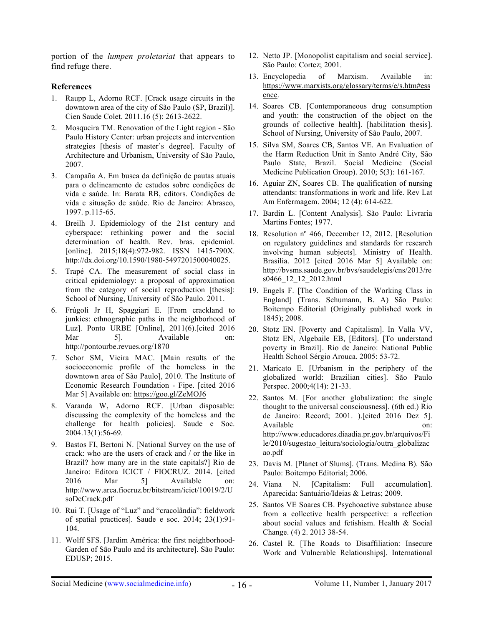portion of the *lumpen proletariat* that appears to find refuge there.

## **References**

- 1. Raupp L, Adorno RCF. [Crack usage circuits in the downtown area of the city of São Paulo (SP, Brazil)]. Cien Saude Colet. 2011.16 (5): 2613-2622.
- 2. Mosqueira TM. Renovation of the Light region São Paulo History Center: urban projects and intervention strategies [thesis of master's degree]. Faculty of Architecture and Urbanism, University of São Paulo, 2007.
- 3. Campaña A. Em busca da definição de pautas atuais para o delineamento de estudos sobre condições de vida e saúde. In: Barata RB, editors. Condições de vida e situação de saúde. Rio de Janeiro: Abrasco, 1997. p.115-65.
- 4. Breilh J. Epidemiology of the 21st century and cyberspace: rethinking power and the social determination of health. Rev. bras. epidemiol. [online]. 2015;18(4):972-982. ISSN 1415-790X. http://dx.doi.org/10.1590/1980-5497201500040025.
- 5. Trapé CA. The measurement of social class in critical epidemiology: a proposal of approximation from the category of social reproduction [thesis]: School of Nursing, University of São Paulo. 2011.
- 6. Frúgoli Jr H, Spaggiari E. [From crackland to junkies: ethnographic paths in the neighborhood of Luz]. Ponto URBE [Online], 2011(6).[cited 2016 Mar 5]. Available on: http://pontourbe.revues.org/1870
- 7. Schor SM, Vieira MAC. [Main results of the socioeconomic profile of the homeless in the downtown area of São Paulo], 2010. The Institute of Economic Research Foundation - Fipe. [cited 2016 Mar 5] Available on: https://goo.gl/ZeMOJ6
- 8. Varanda W, Adorno RCF. [Urban disposable: discussing the complexity of the homeless and the challenge for health policies]. Saude e Soc. 2004.13(1):56-69.
- 9. Bastos FI, Bertoni N. [National Survey on the use of crack: who are the users of crack and / or the like in Brazil? how many are in the state capitals?] Rio de Janeiro: Editora ICICT / FIOCRUZ. 2014. [cited 2016 Mar 5] Available on: http://www.arca.fiocruz.br/bitstream/icict/10019/2/U soDeCrack.pdf
- 10. Rui T. [Usage of "Luz" and "cracolândia": fieldwork of spatial practices]. Saude e soc. 2014; 23(1):91- 104.
- 11. Wolff SFS. [Jardim América: the first neighborhood-Garden of São Paulo and its architecture]. São Paulo: EDUSP; 2015.
- 12. Netto JP. [Monopolist capitalism and social service]. São Paulo: Cortez; 2001.
- 13. Encyclopedia of Marxism. Available in: https://www.marxists.org/glossary/terms/e/s.htm#ess ence.
- 14. Soares CB. [Contemporaneous drug consumption and youth: the construction of the object on the grounds of collective health]. [habilitation thesis]. School of Nursing, University of São Paulo, 2007.
- 15. Silva SM, Soares CB, Santos VE. An Evaluation of the Harm Reduction Unit in Santo André City, São Paulo State, Brazil. Social Medicine (Social Medicine Publication Group). 2010; 5(3): 161-167.
- 16. Aguiar ZN, Soares CB. The qualification of nursing attendants: transformations in work and life. Rev Lat Am Enfermagem. 2004; 12 (4): 614-622.
- 17. Bardin L. [Content Analysis]. São Paulo: Livraria Martins Fontes; 1977.
- 18. Resolution nº 466, December 12, 2012. [Resolution on regulatory guidelines and standards for research involving human subjects]. Ministry of Health. Brasília. 2012 [cited 2016 Mar 5] Available on: http://bvsms.saude.gov.br/bvs/saudelegis/cns/2013/re s0466\_12\_12\_2012.html
- 19. Engels F. [The Condition of the Working Class in England] (Trans. Schumann, B. A) São Paulo: Boitempo Editorial (Originally published work in 1845); 2008.
- 20. Stotz EN. [Poverty and Capitalism]. In Valla VV, Stotz EN, Algebaile EB, [Editors]. [To understand poverty in Brazil]. Rio de Janeiro: National Public Health School Sérgio Arouca. 2005: 53-72.
- 21. Maricato E. [Urbanism in the periphery of the globalized world: Brazilian cities]. São Paulo Perspec. 2000;4(14): 21-33.
- 22. Santos M. [For another globalization: the single thought to the universal consciousness]. (6th ed.) Rio de Janeiro: Record; 2001. ).[cited 2016 Dez 5]. Available on: 000 http://www.educadores.diaadia.pr.gov.br/arquivos/Fi le/2010/sugestao\_leitura/sociologia/outra\_globalizac ao.pdf
- 23. Davis M. [Planet of Slums]. (Trans. Medina B). São Paulo: Boitempo Editorial; 2006.
- 24. Viana N. [Capitalism: Full accumulation]. Aparecida: Santuário/Ideias & Letras; 2009.
- 25. Santos VE Soares CB. Psychoactive substance abuse from a collective health perspective: a reflection about social values and fetishism. Health & Social Change. (4) 2. 2013 38-54.
- 26. Castel R. [The Roads to Disaffiliation: Insecure Work and Vulnerable Relationships]. International